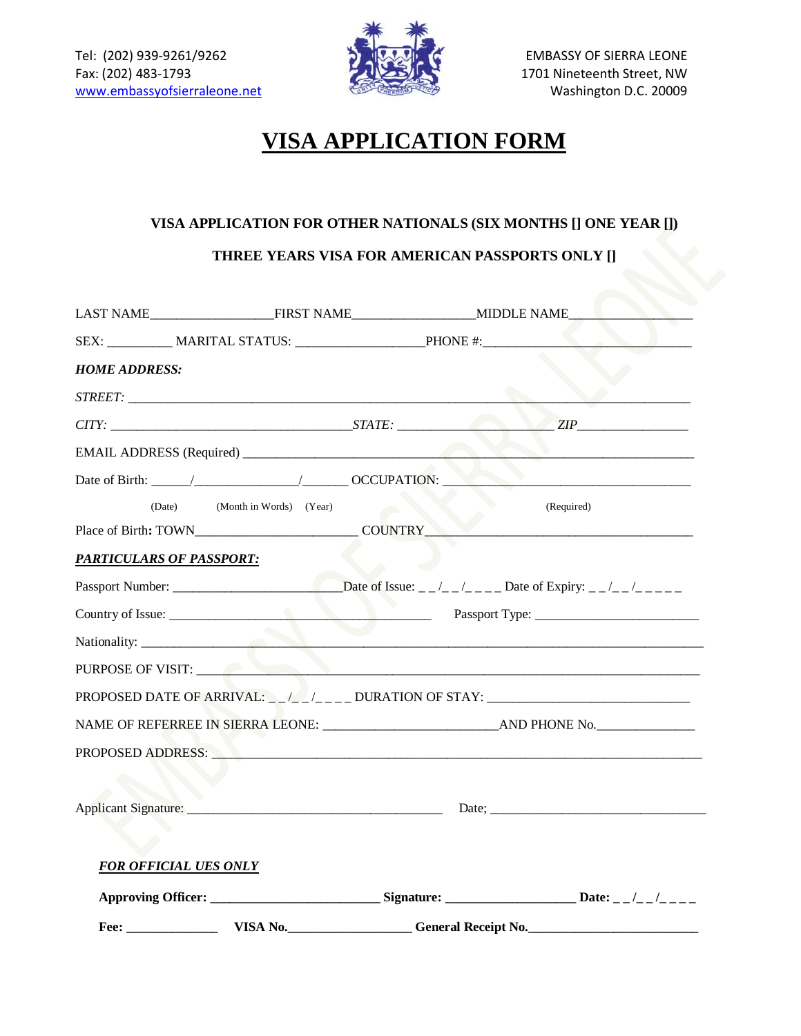

## **VISA APPLICATION FORM**

## **VISA APPLICATION FOR OTHER NATIONALS (SIX MONTHS [] ONE YEAR [])**

**THREE YEARS VISA FOR AMERICAN PASSPORTS ONLY []**

| <b>HOME ADDRESS:</b>                                                                                                                                                                                                           |                            |            |  |
|--------------------------------------------------------------------------------------------------------------------------------------------------------------------------------------------------------------------------------|----------------------------|------------|--|
|                                                                                                                                                                                                                                |                            |            |  |
|                                                                                                                                                                                                                                |                            |            |  |
|                                                                                                                                                                                                                                |                            |            |  |
|                                                                                                                                                                                                                                |                            |            |  |
| (Month in Words) (Year)<br>(Date)                                                                                                                                                                                              |                            | (Required) |  |
| Place of Birth: TOWN COUNTRY                                                                                                                                                                                                   |                            |            |  |
| <b>PARTICULARS OF PASSPORT:</b>                                                                                                                                                                                                |                            |            |  |
|                                                                                                                                                                                                                                |                            |            |  |
| Country of Issue:                                                                                                                                                                                                              |                            |            |  |
| Nationality:                                                                                                                                                                                                                   |                            |            |  |
| PURPOSE OF VISIT:                                                                                                                                                                                                              |                            |            |  |
|                                                                                                                                                                                                                                |                            |            |  |
|                                                                                                                                                                                                                                |                            |            |  |
| PROPOSED ADDRESS: New York State Address and the Contract of the Contract of the Contract of the Contract of the Contract of the Contract of the Contract of the Contract of the Contract of the Contract of the Contract of t |                            |            |  |
|                                                                                                                                                                                                                                |                            |            |  |
|                                                                                                                                                                                                                                |                            |            |  |
|                                                                                                                                                                                                                                |                            |            |  |
| <b>FOR OFFICIAL UES ONLY</b>                                                                                                                                                                                                   |                            |            |  |
| Approving Officer: _____________________________Signature: ________________________Date: __/__/_____                                                                                                                           |                            |            |  |
| VISA No.<br>Fee:                                                                                                                                                                                                               | <b>General Receipt No.</b> |            |  |